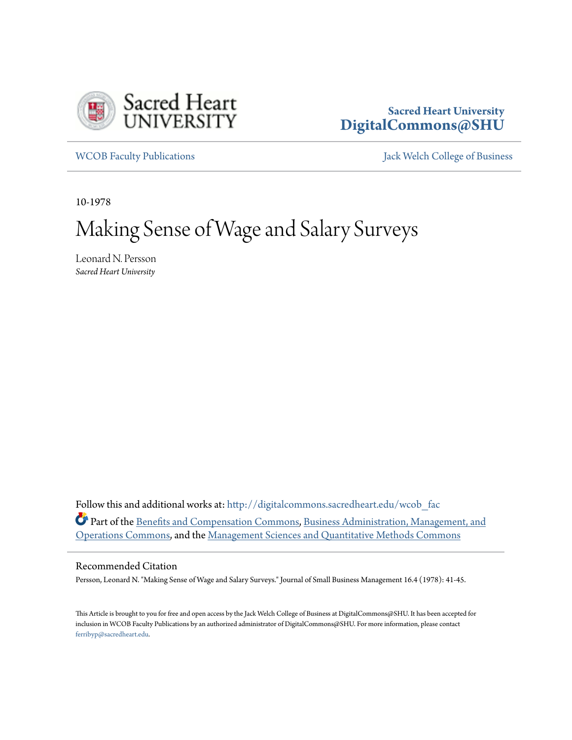

### **Sacred Heart University [DigitalCommons@SHU](http://digitalcommons.sacredheart.edu?utm_source=digitalcommons.sacredheart.edu%2Fwcob_fac%2F300&utm_medium=PDF&utm_campaign=PDFCoverPages)**

[WCOB Faculty Publications](http://digitalcommons.sacredheart.edu/wcob_fac?utm_source=digitalcommons.sacredheart.edu%2Fwcob_fac%2F300&utm_medium=PDF&utm_campaign=PDFCoverPages) [Jack Welch College of Business](http://digitalcommons.sacredheart.edu/wcob?utm_source=digitalcommons.sacredheart.edu%2Fwcob_fac%2F300&utm_medium=PDF&utm_campaign=PDFCoverPages)

10-1978

# Making Sense of Wage and Salary Surveys

Leonard N. Persson *Sacred Heart University*

Follow this and additional works at: [http://digitalcommons.sacredheart.edu/wcob\\_fac](http://digitalcommons.sacredheart.edu/wcob_fac?utm_source=digitalcommons.sacredheart.edu%2Fwcob_fac%2F300&utm_medium=PDF&utm_campaign=PDFCoverPages) Part of the [Benefits and Compensation Commons](http://network.bepress.com/hgg/discipline/1255?utm_source=digitalcommons.sacredheart.edu%2Fwcob_fac%2F300&utm_medium=PDF&utm_campaign=PDFCoverPages), [Business Administration, Management, and](http://network.bepress.com/hgg/discipline/623?utm_source=digitalcommons.sacredheart.edu%2Fwcob_fac%2F300&utm_medium=PDF&utm_campaign=PDFCoverPages) [Operations Commons,](http://network.bepress.com/hgg/discipline/623?utm_source=digitalcommons.sacredheart.edu%2Fwcob_fac%2F300&utm_medium=PDF&utm_campaign=PDFCoverPages) and the [Management Sciences and Quantitative Methods Commons](http://network.bepress.com/hgg/discipline/637?utm_source=digitalcommons.sacredheart.edu%2Fwcob_fac%2F300&utm_medium=PDF&utm_campaign=PDFCoverPages)

#### Recommended Citation

Persson, Leonard N. "Making Sense of Wage and Salary Surveys." Journal of Small Business Management 16.4 (1978): 41-45.

This Article is brought to you for free and open access by the Jack Welch College of Business at DigitalCommons@SHU. It has been accepted for inclusion in WCOB Faculty Publications by an authorized administrator of DigitalCommons@SHU. For more information, please contact [ferribyp@sacredheart.edu](mailto:ferribyp@sacredheart.edu).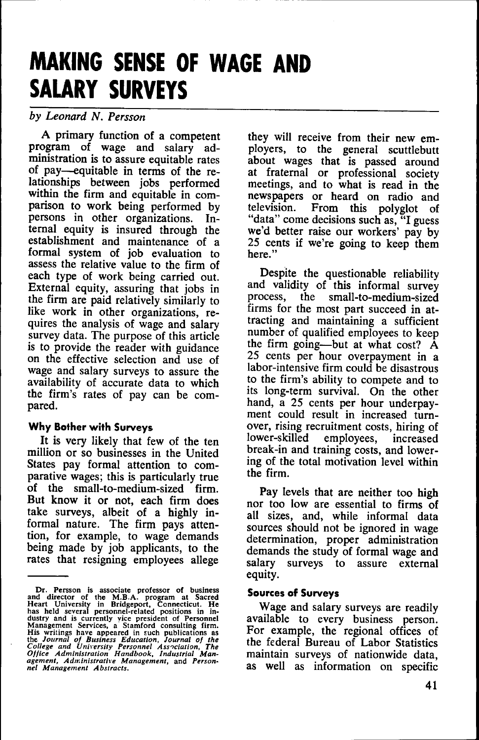## **MAKING SENSE OF WAGE AND SALARY SURVEYS**

#### *by Leonard N. Persson*

*A* primary function of a competent program of wage and salary administration is to assure equitable rates of pay—equitable in terms of the relationships between jobs performed within the firm and equitable in comparison to work being performed by persons in other organizations. Intemal equity is insured through the establishment and maintenance of a formal system of job evaluation to assess the relative value to the firm of each type of work being carried out. External equity, assuring that jobs in the firm are paid relatively similarly to like work in other organizations, requires the analysis of wage and salary survey data. The purpose of this article is to provide the reader with guidance on the effective selection and use of wage and salary surveys to assure the availability of accurate data to which the firm's rates of pay can be compared.

#### **Why Bother with Surveys**

It is very likely that few of the ten million or so businesses in the United States pay formal attention to comparative wages; this is particularly true of the small-to-medium-sized firm. But know it or not, each firm does take surveys, albeit of a highly informal nature. The firm pays attention, for example, to wage demands being made by job applicants, to the rates that resigning employees allege they will receive from their new employers, to the general scuttlebutt about wages that is passed around at fraternal or professional society meetings, and to what is read in the newspapers or heard on radio and television. From this polyglot of "data" come decisions such as, "I guess we'd better raise our workers' pay by 25 cents if we're going to keep them here."

Despite the questionable reliability and validity of this informal survey<br>process, the small-to-medium-sized small-to-medium-sized firms for the most part succeed in attracting and maintaining a sufficient number of qualified employees to keep the firm going—but at what cost? A 25 cents per hour overpayment in a labor-intensive firm could be disastrous to the firm's ability to compete and to its long-term survival. On the other hand, a 25 cents per hour underpayment could result in increased turnover, rising recruitment costs, hiring of lower-skilled employees, increased break-in and training costs, and lowering of the total motivation level within the firm.

Pay levels that are neither too high nor too low are essential to firms of all sizes, and, while informal data sources should not be ignored in wage determination, proper administration demands the study of formal wage and salary surveys to assure external equity.

#### **Sources of Surveys**

Wage and salary surveys are readily available to every business person. For example, the regional offices of the federal Bureau of Labor Statistics maintain surveys of nationwide data, as well as information on specific

Dr. Persson is associate professor of business<br>and director of the M.B.A. program at Sacred<br>Heart University in Bridgeport, Connecticut. He<br>has held several personnel-related positions in in-<br>dustry and is currently vice p *nel Management Abstracts,*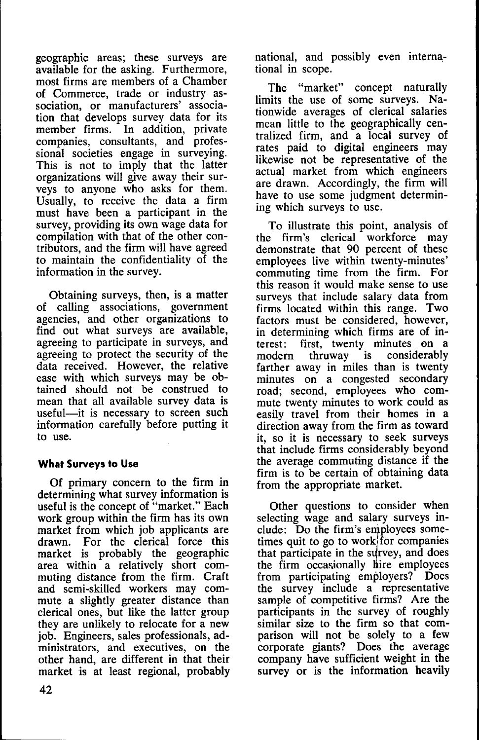geographic areas; these surveys are available for the asking. Furthermore, most firms are members of a Chamber of Commerce, trade or industry association, or manufacturers' association that develops survey data for its member firms. In addition, private companies, consultants, and professional societies engage in surveying. This is not to imply that the latter organizations will give away their surveys to anyone who asks for them. Usually, to receive the data a firm must have been a participant in the survey, providing its own wage data for compilation with that of the other contributors, and the firm will have agreed to maintain the confidentiality of the information in the survey.

Obtaining surveys, then, is a matter of calling associations, government agencies, and other organizations to find out what surveys are available, agreeing to participate in surveys, and agreeing to protect the security of the data received. However, the relative ease with which surveys may be obtained should not be construed to mean that all available survey data is useful—it is necessary to screen such information carefully before putting it to use.

#### **What Surveys to Use**

Of primary concern to the firm in determining what survey information is useful is the concept of "market." Each work group within the firm has its own market from which job applicants are drawn. For the clerical force this market is probably the geographic area within a relatively short commuting distance from the firm. Craft and semi-skilled workers may commute a slightly greater distance than clerical ones, but like the latter group they are unlikely to relocate for a new job. Engineers, sales professionals, administrators, and executives, on the other hand, are different in that their market is at least regional, probably national, and possibly even international in scope.

The "market" concept naturally limits the use of some surveys. Nationwide averages of clerical salaries mean little to the geographically centralized firm, and a local survey of rates paid to digital engineers may likewise not be representative of the actual market from which engineers are drawn. Accordingly, the firm will have to use some judgment determining which surveys to use.

To illustrate this point, analysis of the firm's clerical workforce may demonstrate that 90 percent of these employees live within twenty-minutes' commuting time from the firm. For this reason it would make sense to use surveys that include salary data from firms located within this range. Two factors must be considered, however, in determining which firms are of interest: first, twenty minutes on a<br>modern thruway is considerably modern thruway is considerably farther away in miles than is twenty minutes on a congested secondary road; second, employees who commute twenty minutes to work could as easily travel from their homes in a direction away from the firm as toward it, so it is necessary to seek surveys that include firms considerably beyond the average commuting distance if the firm is to be certain of obtaining data from the appropriate market.

Other questions to consider when selecting wage and salary surveys include: Do the firm's employees sometimes quit to go to work) for companies that participate in the survey, and does the firm occasionally hire employees from participating employers? Does the survey include a representative sample of competitive firms? Are the participants in the survey of roughly similar size to the firm so that comparison will not be solely to a few corporate giants? Does the average company have sufficient weight in the survey or is the information heavily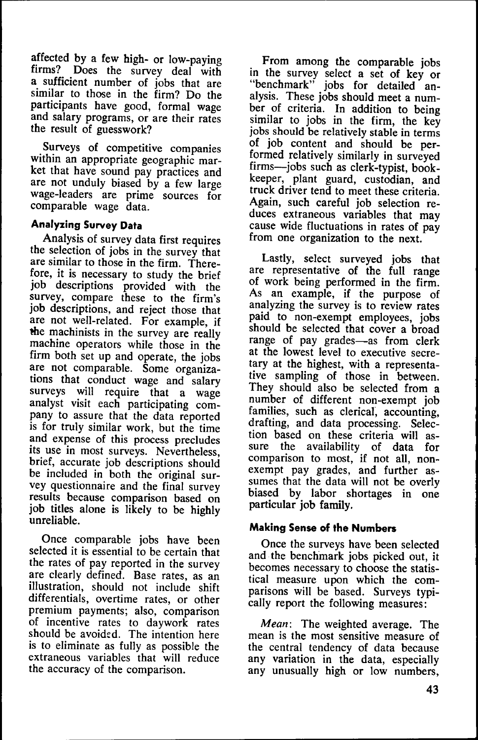affected by a few high- or low-paying firms? Does the survey deal with a sufficient number of jobs that are similar to those in the firm? Do the participants have good, formal wage and salary programs, or are their rates the result of guesswork?

Surveys of competitive companies within an appropriate geographic market that have sound pay practices and are not unduly biased by a few large wage-leaders are prime sources for comparable wage data.

#### **Analyzing Survey Data**

Analysis of survey data first requires the selection of jobs in the survey that are similar to those in the firm. Therefore, it is necessary to study the brief job descriptions provided with the survey, compare these to the firm's job descriptions, and reject those that are not well-related. For example, if the machinists in the survey are really machine operators while those in the firm both set up and operate, the jobs are not comparable. Some organizations that conduct wage and salary surveys will require that a wage analyst visit each participating company to assure that the data reported is for truly similar work, but the time and expense of this process precludes its use in most surveys. Nevertheless, brief, accurate job descriptions should be included in both the original survey questionnaire and the final survey results because comparison based on job titles alone is likely to be highly unreliable.

Once comparable jobs have been selected it is essential to be certain that the rates of pay reported in the survey are clearly defined. Base rates, as an illustration, should not include shift differentials, overtime rates, or other premium payments; also, comparison of incentive rates to daywork rates should be avoided. The intention here is to eliminate as fully as possible the extraneous variables that will reduce the accuracy of the comparison.

From among the comparable jobs in the survey select a set of key or "benchmark" jobs for detailed analysis. These jobs should meet a number of criteria. In addition to being similar to jobs in the firm, the key jobs should be relatively stable in terms of job content and should be performed relatively similarly in surveyed firms—jobs such as clerk-typist, bookkeeper, plant guard, custodian, and truck driver tend to meet these criteria. Again, such careful job selection reduces extraneous variables that may cause wide fluctuations in rates of pay from one organization to the next.

Lastly, select surveyed jobs that are representative of the full range of work being performed in the firm. As an example, if the purpose of analyzing the survey is to review rates paid to non-exempt employees, jobs should be selected that cover a broad range of pay grades—as from clerk at the lowest level to executive secretary at the highest, with a representative sampling of those in between. They should also be selected from a number of different non-exempt job families, such as clerical, accounting, drafting, and data processing. Selection based on these criteria will assure the availability of data for comparison to most, if not all, nonexempt pay grades, and further assumes that the data will not be overly biased by labor shortages in one particular job family.

#### **Making Sense of the Numbers**

Once the surveys have been selected and the benchmark jobs picked out, it becomes necessary to choose the statistical measure upon which the comparisons will be based. Surveys typically report the following measures:

*Mean:* The weighted average. The mean is the most sensitive measure of the central tendency of data because any variation in the data, especially any unusually high or low numbers,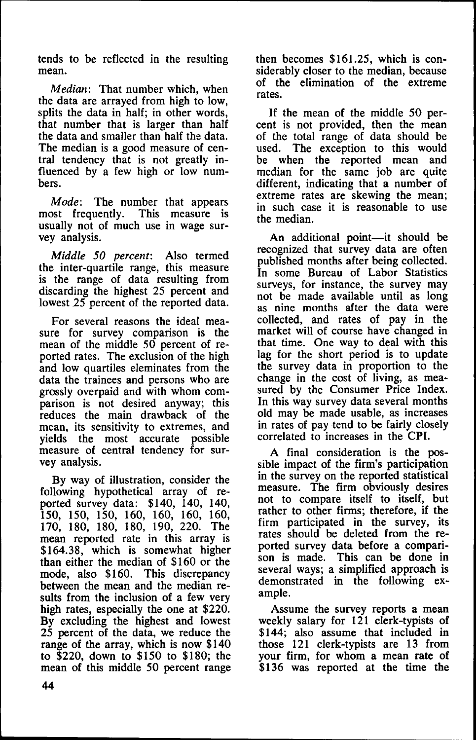tends to be reflected in the resulting mean.

*Median:* That number which, when the data are arrayed from high to low, splits the data in half; in other words, that number that is larger than half the data and smaller than half the data. The median is a good measure of central tendency that is not greatly influenced by a few high or low numbers.

*Mode:* The number that appears most frequently. This measure is usually not of much use in wage survey analysis.

*Middle 50 percent:* Also termed the inter-quartile range, this measure is the range of data resulting from discarding the highest 25 percent and lowest 25 percent of the reported data.

For several reasons the ideal measure for survey comparison is the mean of the middle 50 percent of reported rates. The exclusion of the high and low quartiles eleminates from the data the trainees and persons who are grossly overpaid and with whom comparison is not desired anyway; this reduces the main drawback of the mean, its sensitivity to extremes, and yields the most accurate possible measure of central tendency for survey analysis.

By way of illustration, consider the following hypothetical array of reported survey data: \$140, 140, 140, 150, 150, 150, 160, 160, 160, 160, 170, 180, 180, 180, 190, 220. The mean reported rate in this array is \$164.38, which is somewhat higher than either the median of \$160 or the mode, also \$160. This discrepancy between the mean and the median results from the inclusion of a few very high rates, especially the one at \$220. By excluding the highest and lowest 25 percent of the data, we reduce the range of the array, which is now \$140 to \$220, down to \$150 to \$180; the mean of this middle 50 percent range then becomes \$161.25, which is considerably closer to the median, because of the elimination of the extreme rates.

If the mean of the middle 50 percent is not provided, then the mean of the total range of data should be used. The exception to this would<br>be when the reported mean and when the reported mean and median for the same job are quite different, indicating that a number of extreme rates are skewing the mean; in such case it is reasonable to use the median.

An additional point—it should be recognized that survey data are often published months after being collected. In some Bureau of Labor Statistics surveys, for instance, the survey may not be made available until as long as nine months after the data were collected, and rates of pay in the market will of course have changed in that time. One way to deal with this lag for the short period is to update the survey data in proportion to the change in the cost of living, as measured by the Consumer Price Index. In this way survey data several months old may be made usable, as increases in rates of pay tend to be fairly closely correlated to increases in the CPI.

A final consideration is the possible impact of the firm's participation in the survey on the reported statistical measure. The firm obviously desires not to compare itself to itself, but rather to other firms; therefore, if the firm participated in the survey, its rates should be deleted from the reported survey data before a comparison is made. This can be done in several ways; a simplified approach is demonstrated in the following example.

Assume the survey reports a mean weekly salary for 121 clerk-typists of \$144; also assume that included in those 121 clerk-typists are 13 from your firm, for whom a mean rate of \$136 was reported at the time the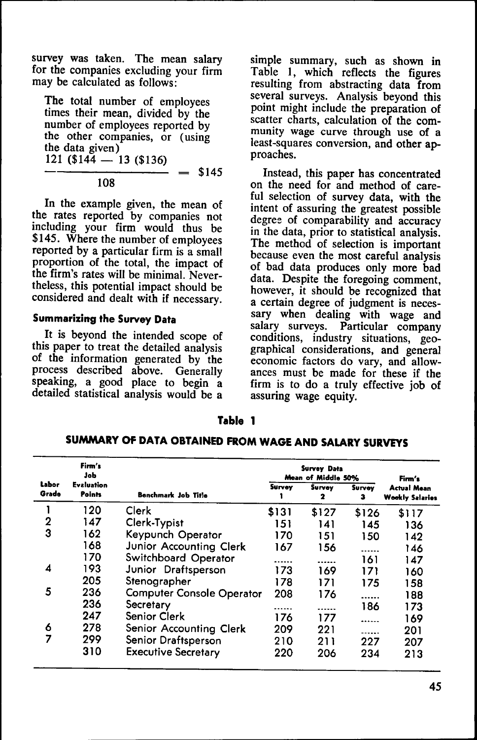survey was taken. The mean salary for the companies excluding your firm may be calculated as follows:

The total number of employees times their mean, divided by the number of employees reported by the other companies, or (using the data given)  $121$  (\$144 — 13 (\$136) \$145

108

In the example given, the mean of the rates reported by companies not including your firm would thus be \$145. Where the number of employees reported by a particular firm is a small proportion of the total, the impact of the firm's rates will be minimal. Nevertheless, this potential impact should be considered and dealt with if necessary.

#### **Summarizing the Survey Data**

It is beyond the intended scope of this paper to treat the detailed analysis of the information generated by the process described above. Generally speaking, a good place to begin a detailed statistical analysis would be a

simple summary, such as shown in Table 1, which reflects the figures resulting from abstracting data from several surveys. Analysis beyond this point might include the preparation of scatter charts, calculation of the community wage curve through use of a least-squares conversion, and other approaches.

Instead, this paper has concentrated on the need for and method of careful selection of survey data, with the intent of assuring the greatest possible degree of comparability and accuracy in the data, prior to statistical analysis. The method of selection is important because even the most careful analysis of bad data produces only more bad data. Despite the foregoing comment, however, it should be recognized that a certain degree of judgment is necessary when dealing with wage and salary surveys. Particular company conditions, industry situations, geographical considerations, and general economic factors do vary, and allowances must be made for these if the firm is to do a truly effective job of assuring wage equity.

#### **Table 1**

|                | Firm's<br>Job               |                                  | Survey Data<br>Mean of Middle 50% |             |             | Firm's                                       |
|----------------|-----------------------------|----------------------------------|-----------------------------------|-------------|-------------|----------------------------------------------|
| Labor<br>Grade | <b>Evaluation</b><br>Points | <b>Benchmark Job Title</b>       | Survey                            | Survey<br>2 | Survey<br>з | <b>Actual Mean</b><br><b>Wookly Salaries</b> |
|                | 120                         | Clerk                            | \$131                             | \$127       | \$126       | \$117                                        |
| $\overline{2}$ | 147                         | Clerk-Typist                     | 151                               | 141         | 145         | 136                                          |
| 3              | 162                         | Keypunch Operator                | 170                               | 151         | 150         | 142                                          |
|                | 168                         | Junior Accounting Clerk          | 167                               | 156         |             | 146                                          |
|                | 170                         | Switchboard Operator             | -----                             | .           | 161         | 147                                          |
| 4              | 193                         | Junior Draftsperson              | 173                               | 169         | 171         | 160                                          |
|                | 205                         | Stenographer                     | 178                               | 171         | 175         | 158                                          |
| 5              | 236                         | <b>Computer Console Operator</b> | 208                               | 176         |             | 188                                          |
|                | 236                         | Secretary                        |                                   | .           | 186         | 173                                          |
|                | 247                         | <b>Senior Clerk</b>              | 176                               | 177         | ------      | 169                                          |
| 6              | 278                         | Senior Accounting Clerk          | 209                               | 221         |             | 201                                          |
| 7              | 299                         | Senior Draftsperson              | 210                               | 211         | 227         | 207                                          |
|                | 310                         | <b>Executive Secretary</b>       | 220                               | 206         | 234         | 213                                          |

**SUAAMARY OF DATA OBTAINED FROM WAGE AND SALARY SURVEYS**